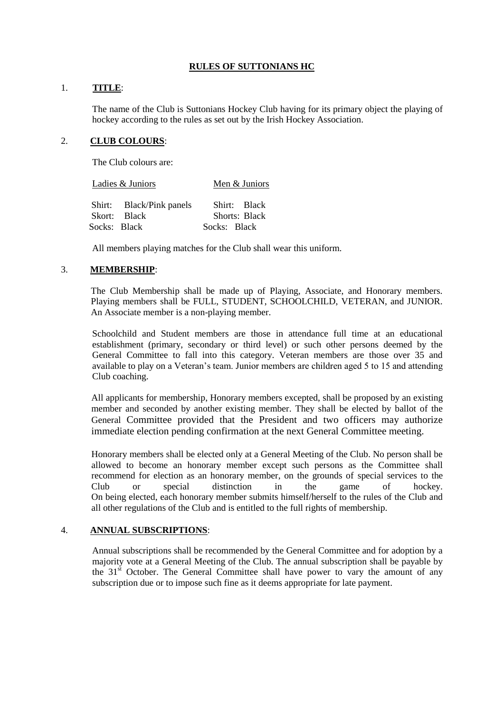## **RULES OF SUTTONIANS HC**

## 1. **TITLE**:

The name of the Club is Suttonians Hockey Club having for its primary object the playing of hockey according to the rules as set out by the Irish Hockey Association.

## 2. **CLUB COLOURS**:

The Club colours are:

Ladies & Juniors Men & Juniors

| Shirt: | Black/Pink<br>panels | <b>Black</b><br>Shirt   |
|--------|----------------------|-------------------------|
| Skort: | <b>Black</b>         | <b>Black</b><br>Shorts: |
| Socks: | <b>Black</b>         | <b>Black</b><br>Socks:  |

All members playing matches for the Club shall wear this uniform.

### 3. **MEMBERSHIP**:

The Club Membership shall be made up of Playing, Associate, and Honorary members. Playing members shall be FULL, STUDENT, SCHOOLCHILD, VETERAN, and JUNIOR. An Associate member is a non-playing member.

Schoolchild and Student members are those in attendance full time at an educational establishment (primary, secondary or third level) or such other persons deemed by the General Committee to fall into this category. Veteran members are those over 35 and available to play on a Veteran's team. Junior members are children aged 5 to 15 and attending Club coaching.

All applicants for membership, Honorary members excepted, shall be proposed by an existing member and seconded by another existing member. They shall be elected by ballot of the General Committee provided that the President and two officers may authorize immediate election pending confirmation at the next General Committee meeting.

Honorary members shall be elected only at a General Meeting of the Club. No person shall be allowed to become an honorary member except such persons as the Committee shall recommend for election as an honorary member, on the grounds of special services to the Club or special distinction in the game of hockey. On being elected, each honorary member submits himself/herself to the rules of the Club and all other regulations of the Club and is entitled to the full rights of membership.

### 4. **ANNUAL SUBSCRIPTIONS**:

Annual subscriptions shall be recommended by the General Committee and for adoption by a majority vote at a General Meeting of the Club. The annual subscription shall be payable by the  $31<sup>st</sup>$  October. The General Committee shall have power to vary the amount of any subscription due or to impose such fine as it deems appropriate for late payment.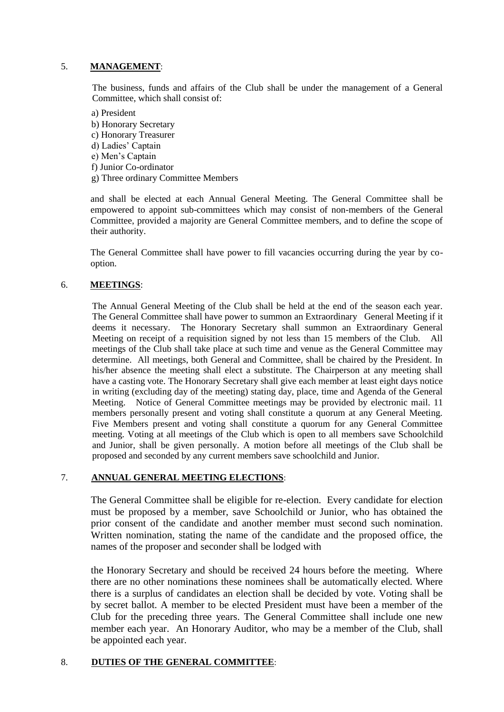# 5. **MANAGEMENT**:

The business, funds and affairs of the Club shall be under the management of a General Committee, which shall consist of:

a) President b) Honorary Secretary c) Honorary Treasurer d) Ladies' Captain e) Men's Captain f) Junior Co-ordinator g) Three ordinary Committee Members

and shall be elected at each Annual General Meeting. The General Committee shall be empowered to appoint sub-committees which may consist of non-members of the General Committee, provided a majority are General Committee members, and to define the scope of their authority.

The General Committee shall have power to fill vacancies occurring during the year by cooption.

## 6. **MEETINGS**:

The Annual General Meeting of the Club shall be held at the end of the season each year. The General Committee shall have power to summon an Extraordinary General Meeting if it deems it necessary. The Honorary Secretary shall summon an Extraordinary General Meeting on receipt of a requisition signed by not less than 15 members of the Club. All meetings of the Club shall take place at such time and venue as the General Committee may determine. All meetings, both General and Committee, shall be chaired by the President. In his/her absence the meeting shall elect a substitute. The Chairperson at any meeting shall have a casting vote. The Honorary Secretary shall give each member at least eight days notice in writing (excluding day of the meeting) stating day, place, time and Agenda of the General Meeting. Notice of General Committee meetings may be provided by electronic mail. 11 members personally present and voting shall constitute a quorum at any General Meeting. Five Members present and voting shall constitute a quorum for any General Committee meeting. Voting at all meetings of the Club which is open to all members save Schoolchild and Junior, shall be given personally. A motion before all meetings of the Club shall be proposed and seconded by any current members save schoolchild and Junior.

### 7. **ANNUAL GENERAL MEETING ELECTIONS**:

The General Committee shall be eligible for re-election. Every candidate for election must be proposed by a member, save Schoolchild or Junior, who has obtained the prior consent of the candidate and another member must second such nomination. Written nomination, stating the name of the candidate and the proposed office, the names of the proposer and seconder shall be lodged with

the Honorary Secretary and should be received 24 hours before the meeting. Where there are no other nominations these nominees shall be automatically elected. Where there is a surplus of candidates an election shall be decided by vote. Voting shall be by secret ballot. A member to be elected President must have been a member of the Club for the preceding three years. The General Committee shall include one new member each year. An Honorary Auditor, who may be a member of the Club, shall be appointed each year.

### 8. **DUTIES OF THE GENERAL COMMITTEE**: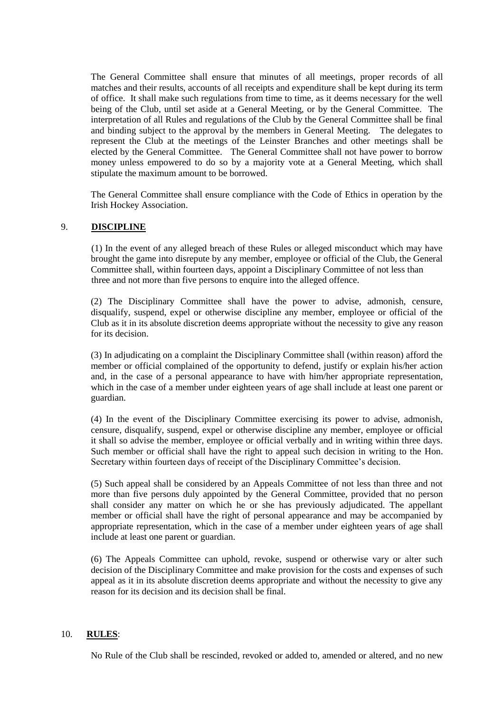The General Committee shall ensure that minutes of all meetings, proper records of all matches and their results, accounts of all receipts and expenditure shall be kept during its term of office. It shall make such regulations from time to time, as it deems necessary for the well being of the Club, until set aside at a General Meeting, or by the General Committee. The interpretation of all Rules and regulations of the Club by the General Committee shall be final and binding subject to the approval by the members in General Meeting. The delegates to represent the Club at the meetings of the Leinster Branches and other meetings shall be elected by the General Committee. The General Committee shall not have power to borrow money unless empowered to do so by a majority vote at a General Meeting, which shall stipulate the maximum amount to be borrowed.

The General Committee shall ensure compliance with the Code of Ethics in operation by the Irish Hockey Association.

# 9. **DISCIPLINE**

(1) In the event of any alleged breach of these Rules or alleged misconduct which may have brought the game into disrepute by any member, employee or official of the Club, the General Committee shall, within fourteen days, appoint a Disciplinary Committee of not less than three and not more than five persons to enquire into the alleged offence.

(2) The Disciplinary Committee shall have the power to advise, admonish, censure, disqualify, suspend, expel or otherwise discipline any member, employee or official of the Club as it in its absolute discretion deems appropriate without the necessity to give any reason for its decision.

(3) In adjudicating on a complaint the Disciplinary Committee shall (within reason) afford the member or official complained of the opportunity to defend, justify or explain his/her action and, in the case of a personal appearance to have with him/her appropriate representation, which in the case of a member under eighteen years of age shall include at least one parent or guardian.

(4) In the event of the Disciplinary Committee exercising its power to advise, admonish, censure, disqualify, suspend, expel or otherwise discipline any member, employee or official it shall so advise the member, employee or official verbally and in writing within three days. Such member or official shall have the right to appeal such decision in writing to the Hon. Secretary within fourteen days of receipt of the Disciplinary Committee's decision.

(5) Such appeal shall be considered by an Appeals Committee of not less than three and not more than five persons duly appointed by the General Committee, provided that no person shall consider any matter on which he or she has previously adjudicated. The appellant member or official shall have the right of personal appearance and may be accompanied by appropriate representation, which in the case of a member under eighteen years of age shall include at least one parent or guardian.

(6) The Appeals Committee can uphold, revoke, suspend or otherwise vary or alter such decision of the Disciplinary Committee and make provision for the costs and expenses of such appeal as it in its absolute discretion deems appropriate and without the necessity to give any reason for its decision and its decision shall be final.

#### 10. **RULES**:

No Rule of the Club shall be rescinded, revoked or added to, amended or altered, and no new